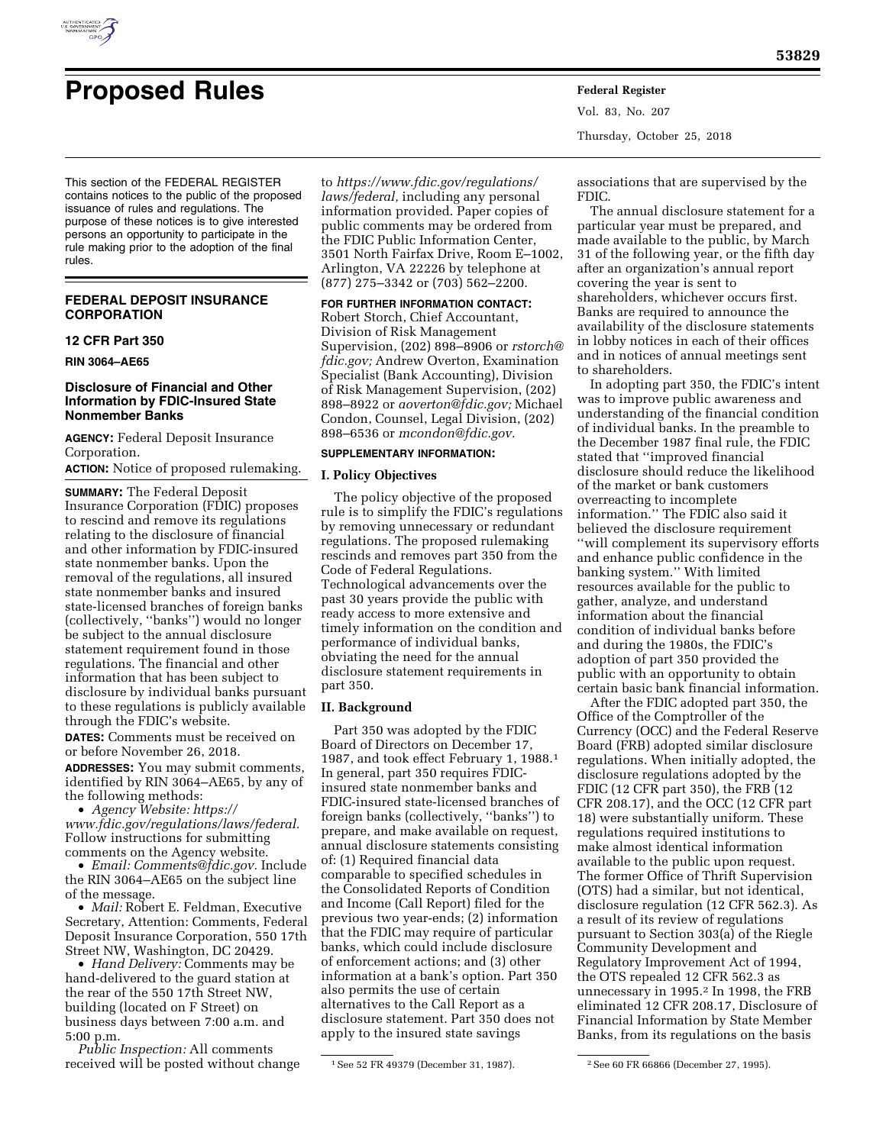

# **Proposed Rules Federal Register**

Vol. 83, No. 207 Thursday, October 25, 2018

This section of the FEDERAL REGISTER contains notices to the public of the proposed issuance of rules and regulations. The purpose of these notices is to give interested persons an opportunity to participate in the rule making prior to the adoption of the final rules.

# **FEDERAL DEPOSIT INSURANCE CORPORATION**

## **12 CFR Part 350**

**RIN 3064–AE65** 

# **Disclosure of Financial and Other Information by FDIC-Insured State Nonmember Banks**

**AGENCY:** Federal Deposit Insurance Corporation.

**ACTION:** Notice of proposed rulemaking.

**SUMMARY:** The Federal Deposit Insurance Corporation (FDIC) proposes to rescind and remove its regulations relating to the disclosure of financial and other information by FDIC-insured state nonmember banks. Upon the removal of the regulations, all insured state nonmember banks and insured state-licensed branches of foreign banks (collectively, ''banks'') would no longer be subject to the annual disclosure statement requirement found in those regulations. The financial and other information that has been subject to disclosure by individual banks pursuant to these regulations is publicly available through the FDIC's website.

**DATES:** Comments must be received on or before November 26, 2018. **ADDRESSES:** You may submit comments,

identified by RIN 3064–AE65, by any of the following methods:

• *Agency Website: [https://](https://www.fdic.gov/regulations/laws/federal) [www.fdic.gov/regulations/laws/federal.](https://www.fdic.gov/regulations/laws/federal)*  Follow instructions for submitting comments on the Agency website.

• *Email: [Comments@fdic.gov.](mailto:Comments@fdic.gov)* Include the RIN 3064–AE65 on the subject line of the message.

• *Mail:* Robert E. Feldman, Executive Secretary, Attention: Comments, Federal Deposit Insurance Corporation, 550 17th Street NW, Washington, DC 20429.

• *Hand Delivery:* Comments may be hand-delivered to the guard station at the rear of the 550 17th Street NW, building (located on F Street) on business days between 7:00 a.m. and 5:00 p.m.

*Public Inspection:* All comments received will be posted without change

to *[https://www.fdic.gov/regulations/](https://www.fdic.gov/regulations/laws/federal)  [laws/federal,](https://www.fdic.gov/regulations/laws/federal)* including any personal information provided. Paper copies of public comments may be ordered from the FDIC Public Information Center, 3501 North Fairfax Drive, Room E–1002, Arlington, VA 22226 by telephone at (877) 275–3342 or (703) 562–2200.

**FOR FURTHER INFORMATION CONTACT:**  Robert Storch, Chief Accountant, Division of Risk Management Supervision, (202) 898–8906 or *[rstorch@](mailto:rstorch@fdic.gov) [fdic.gov;](mailto:rstorch@fdic.gov)* Andrew Overton, Examination Specialist (Bank Accounting), Division of Risk Management Supervision, (202) 898–8922 or *[aoverton@fdic.gov;](mailto:aoverton@fdic.gov)* Michael Condon, Counsel, Legal Division, (202) 898–6536 or *[mcondon@fdic.gov.](mailto:mcondon@fdic.gov)* 

## **SUPPLEMENTARY INFORMATION:**

## **I. Policy Objectives**

The policy objective of the proposed rule is to simplify the FDIC's regulations by removing unnecessary or redundant regulations. The proposed rulemaking rescinds and removes part 350 from the Code of Federal Regulations. Technological advancements over the past 30 years provide the public with ready access to more extensive and timely information on the condition and performance of individual banks, obviating the need for the annual disclosure statement requirements in part 350.

# **II. Background**

Part 350 was adopted by the FDIC Board of Directors on December 17, 1987, and took effect February 1, 1988.1 In general, part 350 requires FDICinsured state nonmember banks and FDIC-insured state-licensed branches of foreign banks (collectively, ''banks'') to prepare, and make available on request, annual disclosure statements consisting of: (1) Required financial data comparable to specified schedules in the Consolidated Reports of Condition and Income (Call Report) filed for the previous two year-ends; (2) information that the FDIC may require of particular banks, which could include disclosure of enforcement actions; and (3) other information at a bank's option. Part 350 also permits the use of certain alternatives to the Call Report as a disclosure statement. Part 350 does not apply to the insured state savings

associations that are supervised by the FDIC.

The annual disclosure statement for a particular year must be prepared, and made available to the public, by March 31 of the following year, or the fifth day after an organization's annual report covering the year is sent to shareholders, whichever occurs first. Banks are required to announce the availability of the disclosure statements in lobby notices in each of their offices and in notices of annual meetings sent to shareholders.

In adopting part 350, the FDIC's intent was to improve public awareness and understanding of the financial condition of individual banks. In the preamble to the December 1987 final rule, the FDIC stated that ''improved financial disclosure should reduce the likelihood of the market or bank customers overreacting to incomplete information.'' The FDIC also said it believed the disclosure requirement ''will complement its supervisory efforts and enhance public confidence in the banking system.'' With limited resources available for the public to gather, analyze, and understand information about the financial condition of individual banks before and during the 1980s, the FDIC's adoption of part 350 provided the public with an opportunity to obtain certain basic bank financial information.

After the FDIC adopted part 350, the Office of the Comptroller of the Currency (OCC) and the Federal Reserve Board (FRB) adopted similar disclosure regulations. When initially adopted, the disclosure regulations adopted by the FDIC (12 CFR part 350), the FRB (12 CFR 208.17), and the OCC (12 CFR part 18) were substantially uniform. These regulations required institutions to make almost identical information available to the public upon request. The former Office of Thrift Supervision (OTS) had a similar, but not identical, disclosure regulation (12 CFR 562.3). As a result of its review of regulations pursuant to Section 303(a) of the Riegle Community Development and Regulatory Improvement Act of 1994, the OTS repealed 12 CFR 562.3 as unnecessary in 1995.2 In 1998, the FRB eliminated 12 CFR 208.17, Disclosure of Financial Information by State Member Banks, from its regulations on the basis

<sup>1</sup>See 52 FR 49379 (December 31, 1987). 2See 60 FR 66866 (December 27, 1995).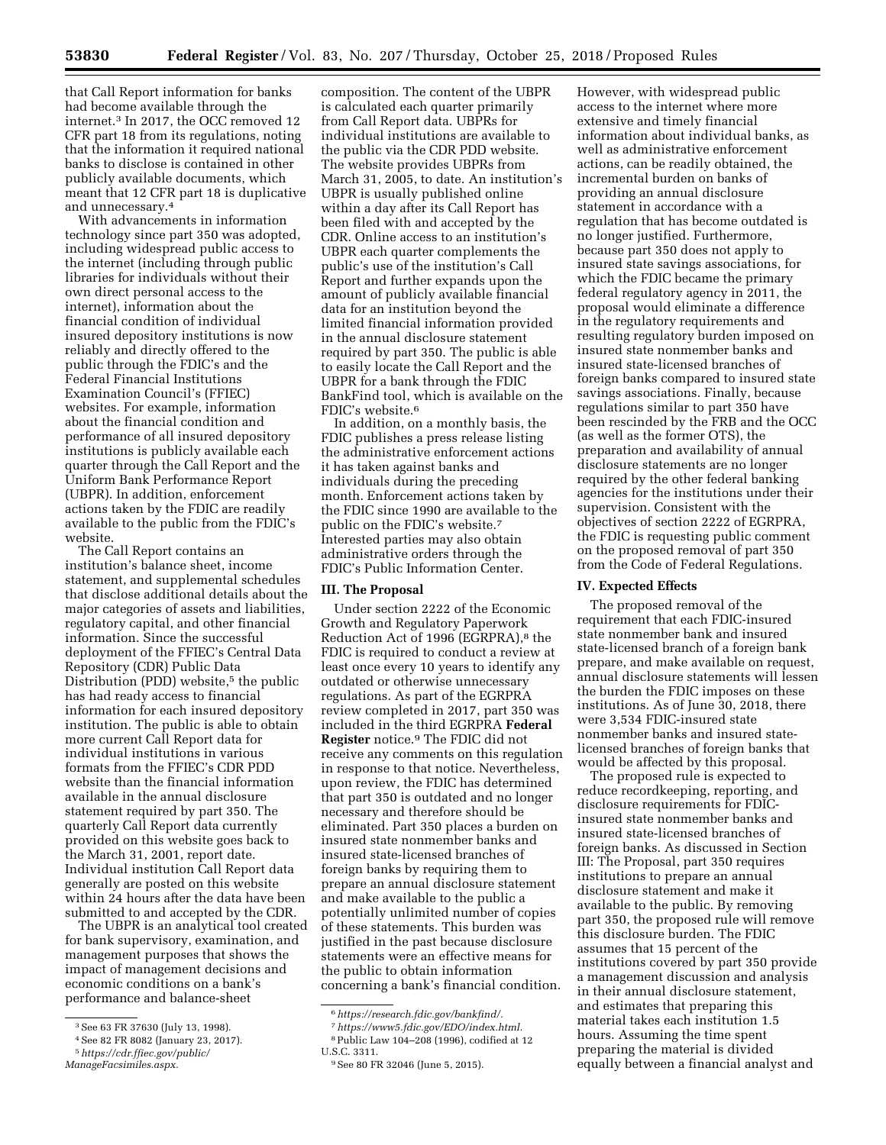that Call Report information for banks had become available through the internet.3 In 2017, the OCC removed 12 CFR part 18 from its regulations, noting that the information it required national banks to disclose is contained in other publicly available documents, which meant that 12 CFR part 18 is duplicative and unnecessary.4

With advancements in information technology since part 350 was adopted, including widespread public access to the internet (including through public libraries for individuals without their own direct personal access to the internet), information about the financial condition of individual insured depository institutions is now reliably and directly offered to the public through the FDIC's and the Federal Financial Institutions Examination Council's (FFIEC) websites. For example, information about the financial condition and performance of all insured depository institutions is publicly available each quarter through the Call Report and the Uniform Bank Performance Report (UBPR). In addition, enforcement actions taken by the FDIC are readily available to the public from the FDIC's website.

The Call Report contains an institution's balance sheet, income statement, and supplemental schedules that disclose additional details about the major categories of assets and liabilities, regulatory capital, and other financial information. Since the successful deployment of the FFIEC's Central Data Repository (CDR) Public Data Distribution (PDD) website,<sup>5</sup> the public has had ready access to financial information for each insured depository institution. The public is able to obtain more current Call Report data for individual institutions in various formats from the FFIEC's CDR PDD website than the financial information available in the annual disclosure statement required by part 350. The quarterly Call Report data currently provided on this website goes back to the March 31, 2001, report date. Individual institution Call Report data generally are posted on this website within 24 hours after the data have been submitted to and accepted by the CDR.

The UBPR is an analytical tool created for bank supervisory, examination, and management purposes that shows the impact of management decisions and economic conditions on a bank's performance and balance-sheet

composition. The content of the UBPR is calculated each quarter primarily from Call Report data. UBPRs for individual institutions are available to the public via the CDR PDD website. The website provides UBPRs from March 31, 2005, to date. An institution's UBPR is usually published online within a day after its Call Report has been filed with and accepted by the CDR. Online access to an institution's UBPR each quarter complements the public's use of the institution's Call Report and further expands upon the amount of publicly available financial data for an institution beyond the limited financial information provided in the annual disclosure statement required by part 350. The public is able to easily locate the Call Report and the UBPR for a bank through the FDIC BankFind tool, which is available on the FDIC's website.6

In addition, on a monthly basis, the FDIC publishes a press release listing the administrative enforcement actions it has taken against banks and individuals during the preceding month. Enforcement actions taken by the FDIC since 1990 are available to the public on the FDIC's website.7 Interested parties may also obtain administrative orders through the FDIC's Public Information Center.

## **III. The Proposal**

Under section 2222 of the Economic Growth and Regulatory Paperwork Reduction Act of 1996 (EGRPRA),<sup>8</sup> the FDIC is required to conduct a review at least once every 10 years to identify any outdated or otherwise unnecessary regulations. As part of the EGRPRA review completed in 2017, part 350 was included in the third EGRPRA **Federal Register** notice.9 The FDIC did not receive any comments on this regulation in response to that notice. Nevertheless, upon review, the FDIC has determined that part 350 is outdated and no longer necessary and therefore should be eliminated. Part 350 places a burden on insured state nonmember banks and insured state-licensed branches of foreign banks by requiring them to prepare an annual disclosure statement and make available to the public a potentially unlimited number of copies of these statements. This burden was justified in the past because disclosure statements were an effective means for the public to obtain information concerning a bank's financial condition.

However, with widespread public access to the internet where more extensive and timely financial information about individual banks, as well as administrative enforcement actions, can be readily obtained, the incremental burden on banks of providing an annual disclosure statement in accordance with a regulation that has become outdated is no longer justified. Furthermore, because part 350 does not apply to insured state savings associations, for which the FDIC became the primary federal regulatory agency in 2011, the proposal would eliminate a difference in the regulatory requirements and resulting regulatory burden imposed on insured state nonmember banks and insured state-licensed branches of foreign banks compared to insured state savings associations. Finally, because regulations similar to part 350 have been rescinded by the FRB and the OCC (as well as the former OTS), the preparation and availability of annual disclosure statements are no longer required by the other federal banking agencies for the institutions under their supervision. Consistent with the objectives of section 2222 of EGRPRA, the FDIC is requesting public comment on the proposed removal of part 350 from the Code of Federal Regulations.

#### **IV. Expected Effects**

The proposed removal of the requirement that each FDIC-insured state nonmember bank and insured state-licensed branch of a foreign bank prepare, and make available on request, annual disclosure statements will lessen the burden the FDIC imposes on these institutions. As of June 30, 2018, there were 3,534 FDIC-insured state nonmember banks and insured statelicensed branches of foreign banks that would be affected by this proposal.

The proposed rule is expected to reduce recordkeeping, reporting, and disclosure requirements for FDICinsured state nonmember banks and insured state-licensed branches of foreign banks. As discussed in Section III: The Proposal, part 350 requires institutions to prepare an annual disclosure statement and make it available to the public. By removing part 350, the proposed rule will remove this disclosure burden. The FDIC assumes that 15 percent of the institutions covered by part 350 provide a management discussion and analysis in their annual disclosure statement, and estimates that preparing this material takes each institution 1.5 hours. Assuming the time spent preparing the material is divided equally between a financial analyst and

<sup>3</sup>See 63 FR 37630 (July 13, 1998).

<sup>4</sup>See 82 FR 8082 (January 23, 2017).

<sup>5</sup>*[https://cdr.ffiec.gov/public/](https://cdr.ffiec.gov/public/ManageFacsimiles.aspx)  [ManageFacsimiles.aspx.](https://cdr.ffiec.gov/public/ManageFacsimiles.aspx)* 

<sup>6</sup>*[https://research.fdic.gov/bankfind/.](https://research.fdic.gov/bankfind/)* 

<sup>7</sup>*[https://www5.fdic.gov/EDO/index.html.](https://www5.fdic.gov/EDO/index.html)*   $^8\!$  Public Law 104–208 (1996), codified at 12

U.S.C. 3311.

<sup>9</sup>See 80 FR 32046 (June 5, 2015).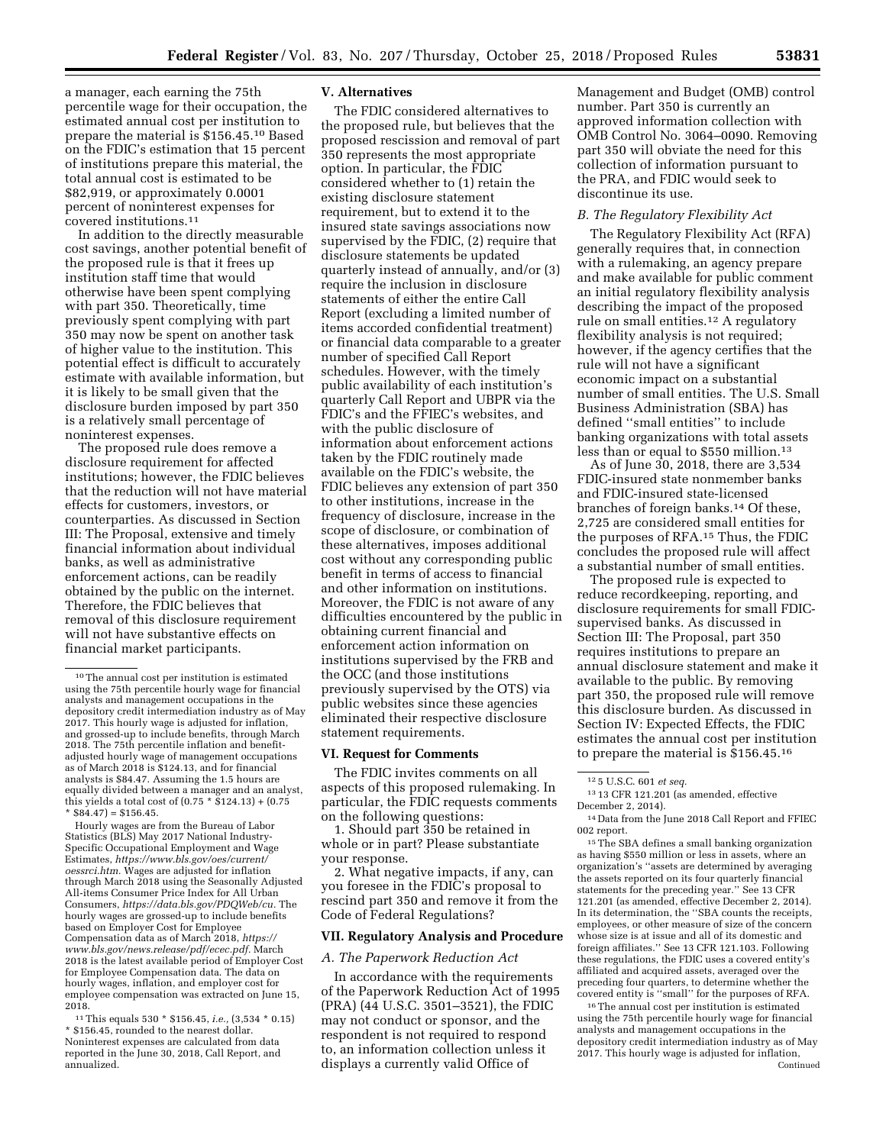a manager, each earning the 75th percentile wage for their occupation, the estimated annual cost per institution to prepare the material is \$156.45.10 Based on the FDIC's estimation that 15 percent of institutions prepare this material, the total annual cost is estimated to be \$82,919, or approximately 0.0001 percent of noninterest expenses for covered institutions.11

In addition to the directly measurable cost savings, another potential benefit of the proposed rule is that it frees up institution staff time that would otherwise have been spent complying with part 350. Theoretically, time previously spent complying with part 350 may now be spent on another task of higher value to the institution. This potential effect is difficult to accurately estimate with available information, but it is likely to be small given that the disclosure burden imposed by part 350 is a relatively small percentage of noninterest expenses.

The proposed rule does remove a disclosure requirement for affected institutions; however, the FDIC believes that the reduction will not have material effects for customers, investors, or counterparties. As discussed in Section III: The Proposal, extensive and timely financial information about individual banks, as well as administrative enforcement actions, can be readily obtained by the public on the internet. Therefore, the FDIC believes that removal of this disclosure requirement will not have substantive effects on financial market participants.

Hourly wages are from the Bureau of Labor Statistics (BLS) May 2017 National Industry-Specific Occupational Employment and Wage Estimates, *[https://www.bls.gov/oes/current/](https://www.bls.gov/oes/current/oessrci.htm) [oessrci.htm.](https://www.bls.gov/oes/current/oessrci.htm)* Wages are adjusted for inflation through March 2018 using the Seasonally Adjusted All-items Consumer Price Index for All Urban Consumers, *[https://data.bls.gov/PDQWeb/cu.](https://data.bls.gov/PDQWeb/cu)* The hourly wages are grossed-up to include benefits based on Employer Cost for Employee Compensation data as of March 2018, *[https://](https://www.bls.gov/news.release/pdf/ecec.pdf) [www.bls.gov/news.release/pdf/ecec.pdf.](https://www.bls.gov/news.release/pdf/ecec.pdf)* March 2018 is the latest available period of Employer Cost for Employee Compensation data. The data on hourly wages, inflation, and employer cost for employee compensation was extracted on June 15, 2018.

11This equals 530 \* \$156.45, *i.e.,* (3,534 \* 0.15) \* \$156.45, rounded to the nearest dollar. Noninterest expenses are calculated from data reported in the June 30, 2018, Call Report, and annualized.

## **V. Alternatives**

The FDIC considered alternatives to the proposed rule, but believes that the proposed rescission and removal of part 350 represents the most appropriate option. In particular, the FDIC considered whether to (1) retain the existing disclosure statement requirement, but to extend it to the insured state savings associations now supervised by the FDIC, (2) require that disclosure statements be updated quarterly instead of annually, and/or (3) require the inclusion in disclosure statements of either the entire Call Report (excluding a limited number of items accorded confidential treatment) or financial data comparable to a greater number of specified Call Report schedules. However, with the timely public availability of each institution's quarterly Call Report and UBPR via the FDIC's and the FFIEC's websites, and with the public disclosure of information about enforcement actions taken by the FDIC routinely made available on the FDIC's website, the FDIC believes any extension of part 350 to other institutions, increase in the frequency of disclosure, increase in the scope of disclosure, or combination of these alternatives, imposes additional cost without any corresponding public benefit in terms of access to financial and other information on institutions. Moreover, the FDIC is not aware of any difficulties encountered by the public in obtaining current financial and enforcement action information on institutions supervised by the FRB and the OCC (and those institutions previously supervised by the OTS) via public websites since these agencies eliminated their respective disclosure statement requirements.

## **VI. Request for Comments**

The FDIC invites comments on all aspects of this proposed rulemaking. In particular, the FDIC requests comments on the following questions:

1. Should part 350 be retained in whole or in part? Please substantiate your response.

2. What negative impacts, if any, can you foresee in the FDIC's proposal to rescind part 350 and remove it from the Code of Federal Regulations?

# **VII. Regulatory Analysis and Procedure**

#### *A. The Paperwork Reduction Act*

In accordance with the requirements of the Paperwork Reduction Act of 1995 (PRA) (44 U.S.C. 3501–3521), the FDIC may not conduct or sponsor, and the respondent is not required to respond to, an information collection unless it displays a currently valid Office of

Management and Budget (OMB) control number. Part 350 is currently an approved information collection with OMB Control No. 3064–0090. Removing part 350 will obviate the need for this collection of information pursuant to the PRA, and FDIC would seek to discontinue its use.

#### *B. The Regulatory Flexibility Act*

The Regulatory Flexibility Act (RFA) generally requires that, in connection with a rulemaking, an agency prepare and make available for public comment an initial regulatory flexibility analysis describing the impact of the proposed rule on small entities.12 A regulatory flexibility analysis is not required; however, if the agency certifies that the rule will not have a significant economic impact on a substantial number of small entities. The U.S. Small Business Administration (SBA) has defined ''small entities'' to include banking organizations with total assets less than or equal to \$550 million.<sup>13</sup>

As of June 30, 2018, there are 3,534 FDIC-insured state nonmember banks and FDIC-insured state-licensed branches of foreign banks.14 Of these, 2,725 are considered small entities for the purposes of RFA.15 Thus, the FDIC concludes the proposed rule will affect a substantial number of small entities.

The proposed rule is expected to reduce recordkeeping, reporting, and disclosure requirements for small FDICsupervised banks. As discussed in Section III: The Proposal, part 350 requires institutions to prepare an annual disclosure statement and make it available to the public. By removing part 350, the proposed rule will remove this disclosure burden. As discussed in Section IV: Expected Effects, the FDIC estimates the annual cost per institution to prepare the material is \$156.45.16

15The SBA defines a small banking organization as having \$550 million or less in assets, where an organization's ''assets are determined by averaging the assets reported on its four quarterly financial statements for the preceding year.'' See 13 CFR 121.201 (as amended, effective December 2, 2014). In its determination, the ''SBA counts the receipts, employees, or other measure of size of the concern whose size is at issue and all of its domestic and foreign affiliates.'' See 13 CFR 121.103. Following these regulations, the FDIC uses a covered entity's affiliated and acquired assets, averaged over the preceding four quarters, to determine whether the covered entity is ''small'' for the purposes of RFA.

<sup>16</sup>The annual cost per institution is estimated using the 75th percentile hourly wage for financial analysts and management occupations in the depository credit intermediation industry as of May 2017. This hourly wage is adjusted for inflation, Continued

<sup>10</sup>The annual cost per institution is estimated using the 75th percentile hourly wage for financial analysts and management occupations in the depository credit intermediation industry as of May 2017. This hourly wage is adjusted for inflation, and grossed-up to include benefits, through March 2018. The 75th percentile inflation and benefitadjusted hourly wage of management occupations as of March 2018 is \$124.13, and for financial analysts is \$84.47. Assuming the 1.5 hours are equally divided between a manager and an analyst, this yields a total cost of  $(0.75 * \$124.13) + (0.75$  $*$  \$84.47) = \$156.45.

<sup>12</sup> 5 U.S.C. 601 *et seq.* 

<sup>13</sup> 13 CFR 121.201 (as amended, effective December 2, 2014).

<sup>14</sup> Data from the June 2018 Call Report and FFIEC 002 report.